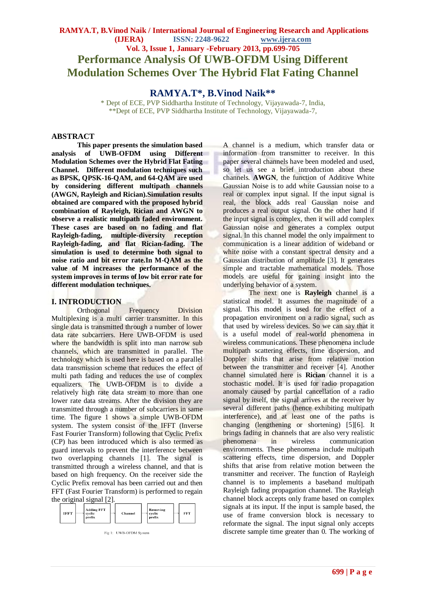## **RAMYA.T, B.Vinod Naik / International Journal of Engineering Research and Applications (IJERA) ISSN: 2248-9622 www.ijera.com Vol. 3, Issue 1, January -February 2013, pp.699-705 Performance Analysis Of UWB-OFDM Using Different Modulation Schemes Over The Hybrid Flat Fating Channel**

**RAMYA.T\*, B.Vinod Naik\*\***

\* Dept of ECE, PVP Siddhartha Institute of Technology, Vijayawada-7, India, \*\*Dept of ECE, PVP Siddhartha Institute of Technology, Vijayawada-7,

## **ABSTRACT**

**This paper presents the simulation based analysis of UWB-OFDM using Different Modulation Schemes over the Hybrid Flat Fating Channel. Different modulation techniques such as BPSK, QPSK-16-QAM, and 64-QAM are used by considering different multipath channels (AWGN, Rayleigh and Rician).Simulation results obtained are compared with the proposed hybrid combination of Rayleigh, Rician and AWGN to observe a realistic multipath faded environment. These cases are based on no fading and flat Rayleigh-fading, multiple-diversity reception Rayleigh-fading, and flat Rician-fading. The simulation is used to determine both signal to noise ratio and bit error rate.In M-QAM as the value of M increases the performance of the system improves in terms of low bit error rate for different modulation techniques.**

## **I. INTRODUCTION**

Orthogonal Frequency Division Multiplexing is a multi carrier transmitter. In this single data is transmitted through a number of lower data rate subcarriers. Here UWB-OFDM is used where the bandwidth is split into man narrow sub channels, which are transmitted in parallel. The technology which is used here is based on a parallel data transmission scheme that reduces the effect of multi path fading and reduces the use of complex equalizers. The UWB-OFDM is to divide a relatively high rate data stream to more than one lower rate data streams. After the division they are transmitted through a number of subcarriers in same time. The figure 1 shows a simple UWB-OFDM system. The system consist of the IFFT (Inverse Fast Fourier Transform) following that Cyclic Prefix (CP) has been introduced which is also termed as guard intervals to prevent the interference between two overlapping channels [1]. The signal is transmitted through a wireless channel, and that is based on high frequency. On the receiver side the Cyclic Prefix removal has been carried out and then FFT (Fast Fourier Transform) is performed to regain the original signal [2].

| <b>Adding FFT</b><br>IFFT<br>cyclic<br>Channel<br>prefix | Removing<br>FFT<br>cyclic<br><b>prefix</b> |
|----------------------------------------------------------|--------------------------------------------|
|----------------------------------------------------------|--------------------------------------------|

Fig 1: UWB-OFDM System

A channel is a medium, which transfer data or information from transmitter to receiver. In this paper several channels have been modeled and used, so let us see a brief introduction about these channels. **AWGN**, the function of Additive White Gaussian Noise is to add white Gaussian noise to a real or complex input signal. If the input signal is real, the block adds real Gaussian noise and produces a real output signal. On the other hand if the input signal is complex, then it will add complex Gaussian noise and generates a complex output signal. In this channel model the only impairment to communication is a linear addition of wideband or white noise with a constant spectral density and a Gaussian distribution of amplitude [3]. It generates simple and tractable mathematical models. Those models are useful for gaining insight into the underlying behavior of a system.

The next one is **Rayleigh** channel is a statistical model. It assumes the magnitude of a signal. This model is used for the effect of a propagation environment on a radio signal, such as that used by wireless devices. So we can say that it is a useful model of real-world phenomena in wireless communications. These phenomena include multipath scattering effects, time dispersion, and Doppler shifts that arise from relative motion between the transmitter and receiver [4]. Another channel simulated here is **Rician** channel it is a stochastic model. It is used for radio propagation anomaly caused by partial cancellation of a radio signal by itself, the signal arrives at the receiver by several different paths (hence exhibiting multipath interference), and at least one of the paths is changing (lengthening or shortening) [5][6]. It brings fading in channels that are also very realistic phenomena in wireless communication environments. These phenomena include multipath scattering effects, time dispersion, and Doppler shifts that arise from relative motion between the transmitter and receiver. The function of Rayleigh channel is to implements a baseband multipath Rayleigh fading propagation channel. The Rayleigh channel block accepts only frame based on complex signals at its input. If the input is sample based, the use of frame conversion block is necessary to reformate the signal. The input signal only accepts discrete sample time greater than 0. The working of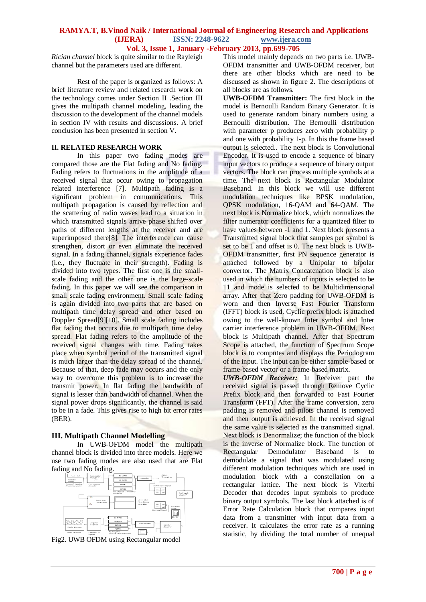*Rician channel* block is quite similar to the Rayleigh channel but the parameters used are different.

Rest of the paper is organized as follows: A brief literature review and related research work on the technology comes under Section II .Section III gives the multipath channel modeling, leading the discussion to the development of the channel models in section IV with results and discussions. A brief conclusion has been presented in section V.

## **II. RELATED RESEARCH WORK**

In this paper two fading modes are compared those are the Flat fading and No fading. Fading refers to fluctuations in the amplitude of a received signal that occur owing to propagation related interference [7]. Multipath fading is a significant problem in communications. This multipath propagation is caused by reflection and the scattering of radio waves lead to a situation in which transmitted signals arrive phase shifted over paths of different lengths at the receiver and are superimposed there<sup>[8]</sup>. The interference can cause strengthen, distort or even eliminate the received signal. In a fading channel, signals experience fades (i.e., they fluctuate in their strength). Fading is divided into two types. The first one is the smallscale fading and the other one is the large-scale fading. In this paper we will see the comparison in small scale fading environment. Small scale fading is again divided into two parts that are based on multipath time delay spread and other based on Doppler Spread[9][10]. Small scale fading includes flat fading that occurs due to multipath time delay spread. Flat fading refers to the amplitude of the received signal changes with time. Fading takes place when symbol period of the transmitted signal is much larger than the delay spread of the channel. Because of that, deep fade may occurs and the only way to overcome this problem is to increase the transmit power. In flat fading the bandwidth of signal is lesser than bandwidth of channel. When the signal power drops significantly, the channel is said to be in a fade. This gives rise to high bit error rates (BER).

## **III. Multipath Channel Modelling**

In UWB-OFDM model the multipath channel block is divided into three models. Here we use two fading modes are also used that are Flat fading and No fading.



Fig2. UWB OFDM using Rectangular model

This model mainly depends on two parts i.e. UWB-OFDM transmitter and UWB-OFDM receiver, but there are other blocks which are need to be discussed as shown in figure 2. The descriptions of all blocks are as follows.

**UWB-OFDM Transmitter:** The first block in the model is Bernoulli Random Binary Generator. It is used to generate random binary numbers using a Bernoulli distribution. The Bernoulli distribution with parameter p produces zero with probability p and one with probability 1-p. In this the frame based output is selected.. The next block is Convolutional Encoder. It is used to encode a sequence of binary input vectors to produce a sequence of binary output vectors. The block can process multiple symbols at a time. The next block is Rectangular Modulator Baseband. In this block we will use different modulation techniques like BPSK modulation, QPSK modulation, 16-QAM and 64-QAM. The next block is Normalize block, which normalizes the filter numerator coefficients for a quantized filter to have values between -1 and 1. Next block presents a Transmitted signal block that samples per symbol is set to be 1 and offset is 0. The next block is UWB-OFDM transmitte*r*, first PN sequence generator is attached followed by a Unipolar to bipolar convertor. The Matrix Concatenation block is also used in which the numbers of inputs is selected to be 11 and mode is selected to be Multidimensional array. After that Zero padding for UWB-OFDM is worn and then Inverse Fast Fourier Transform (IFFT) block is used. Cyclic prefix block is attached owing to the well-known Inter symbol and Inter carrier interference problem in UWB-OFDM. Next block is Multipath channel. After that Spectrum Scope is attached, the function of Spectrum Scope block is to computes and displays the Periodogram of the input. The input can be either sample-based or frame-based vector or a frame-based matrix.

*UWB-OFDM Receiver:* In Receiver part the received signal is passed through Remove Cyclic Prefix block and then forwarded to Fast Fourier Transform (FFT). After the frame conversion, zero padding is removed and pilots channel is removed and then output is achieved. In the received signal the same value is selected as the transmitted signal. Next block is Denormalize; the function of the block is the inverse of Normalize block. The function of Rectangular Demodulator Baseband is to demodulate a signal that was modulated using different modulation techniques which are used in modulation block with a constellation on a rectangular lattice. The next block is Viterbi Decoder that decodes input symbols to produce binary output symbols. The last block attached is of Error Rate Calculation block that compares input data from a transmitter with input data from a receiver. It calculates the error rate as a running statistic, by dividing the total number of unequal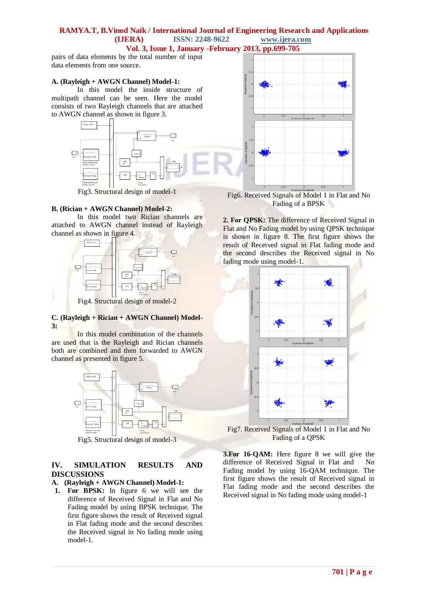# **RAMYA.T, B.Vinod Naik / International Journal of Engineering Research and Applications (IJERA) ISSN: 2248-9622 www.ijera.com**

**Vol. 3, Issue 1, January -February 2013, pp.699-705**

pairs of data elements by the total number of input data elements from one source.

#### **A. (Rayleigh + AWGN Channel) Model-1:**

In this model the inside structure of multipath channel can be seen. Here the model consists of two Rayleigh channels that are attached to AWGN channel as shown in figure 3.



Fig3. Structural design of model-1

#### **B. (Rician + AWGN Channel) Model-2:**

In this model two Rician channels are attached to AWGN channel instead of Rayleigh channel as shown in figure 4.



Fig4. Structural design of model-2

## **C. (Rayleigh + Rician + AWGN Channel) Model-3:**

In this model combination of the channels are used that is the Rayleigh and Rician channels both are combined and then forwarded to AWGN channel as presented in figure 5.



Fig5. Structural design of model-3

## **IV. SIMULATION RESULTS AND DISCUSSIONS**

## **A. (Rayleigh + AWGN Channel) Model-1:**

**1. For BPSK:** In figure 6 we will see the difference of Received Signal in Flat and No Fading model by using BPSK technique. The first figure shows the result of Received signal in Flat fading mode and the second describes the Received signal in No fading mode using model-1.



Fig6. Received Signals of Model 1 in Flat and No Fading of a BPSK

**2. For QPSK:** The difference of Received Signal in Flat and No Fading model by using QPSK technique is shown in figure 8. The first figure shows the result of Received signal in Flat fading mode and the second describes the Received signal in No fading mode using model-1.



Fig7. Received Signals of Model 1 in Flat and No Fading of a QPSK

**3.For 16-QAM:** Here figure 8 we will give the difference of Received Signal in Flat and No Fading model by using 16-QAM technique. The first figure shows the result of Received signal in Flat fading mode and the second describes the Received signal in No fading mode using model-1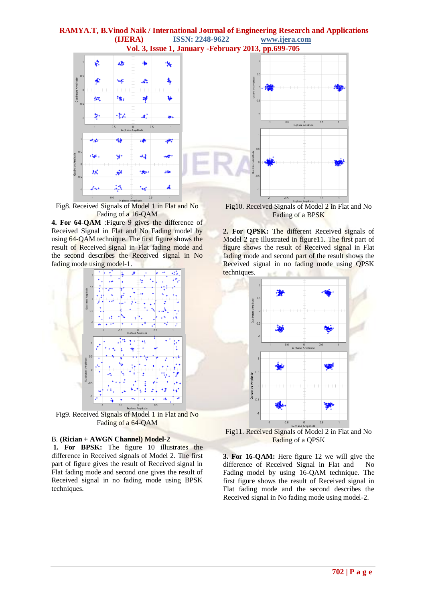

Fig8. Received Signals of Model 1 in Flat and No Fading of a 16-QAM

**4. For 64-QAM** :Figure 9 gives the difference of Received Signal in Flat and No Fading model by using 64-QAM technique. The first figure shows the result of Received signal in Flat fading mode and the second describes the Received signal in No fading mode using model-1.



Fig9. Received Signals of Model 1 in Flat and No Fading of a 64-QAM

#### B. **(Rician + AWGN Channel) Model-2**

**1. For BPSK:** The figure 10 illustrates the difference in Received signals of Model 2. The first part of figure gives the result of Received signal in Flat fading mode and second one gives the result of Received signal in no fading mode using BPSK techniques.

Fig10. Received Signals of Model 2 in Flat and No Fading of a BPSK

**2. For QPSK:** The different Received signals of Model 2 are illustrated in figure11. The first part of figure shows the result of Received signal in Flat fading mode and second part of the result shows the Received signal in no fading mode using QPSK techniques.



Fig11. Received Signals of Model 2 in Flat and No Fading of a QPSK

**3. For 16-QAM:** Here figure 12 we will give the difference of Received Signal in Flat and No Fading model by using 16-QAM technique. The first figure shows the result of Received signal in Flat fading mode and the second describes the Received signal in No fading mode using model-2.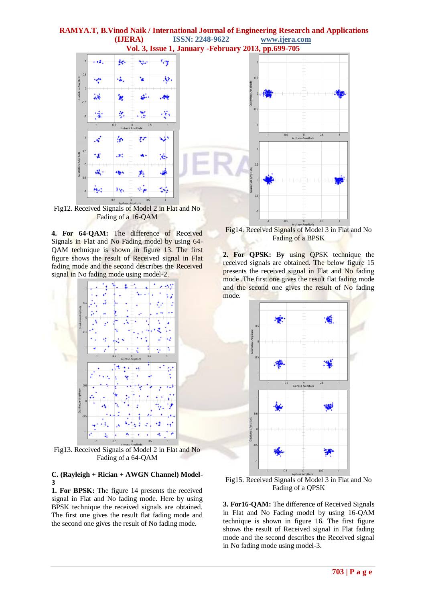

Fading of a 16-QAM

**4. For 64-QAM:** The difference of Received Signals in Flat and No Fading model by using 64- QAM technique is shown in figure 13. The first figure shows the result of Received signal in Flat fading mode and the second describes the Received signal in No fading mode using model-2.



Fig13. Received Signals of Model 2 in Flat and No Fading of a 64-QAM

#### **C. (Rayleigh + Rician + AWGN Channel) Model-3**

**1. For BPSK:** The figure 14 presents the received signal in Flat and No fading mode. Here by using BPSK technique the received signals are obtained. The first one gives the result flat fading mode and the second one gives the result of No fading mode.

Fig14. Received Signals of Model 3 in Flat and No Fading of a BPSK

0<br>In-phase Amplitude

**2. For QPSK:** B**y** using QPSK technique the received signals are obtained. The below figure 15 presents the received signal in Flat and No fading mode .The first one gives the result flat fading mode and the second one gives the result of No fading mode.



Fig15. Received Signals of Model 3 in Flat and No Fading of a QPSK

**3. For16-QAM:** The difference of Received Signals in Flat and No Fading model by using 16-QAM technique is shown in figure 16. The first figure shows the result of Received signal in Flat fading mode and the second describes the Received signal in No fading mode using model-3.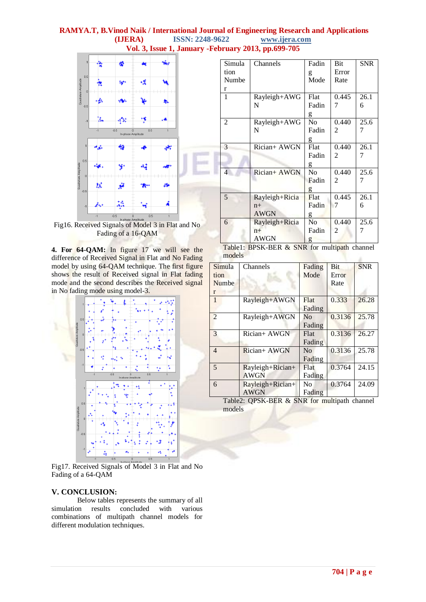

Fig16. Received Signals of Model 3 in Flat and No Fading of a 16-QAM

**4. For 64-QAM:** In figure 17 we will see the difference of Received Signal in Flat and No Fading model by using 64-QAM technique. The first figure shows the result of Received signal in Flat fading mode and the second describes the Received signal in No fading mode using model-3.



Fig17. Received Signals of Model 3 in Flat and No Fading of a 64-QAM

## **V. CONCLUSION:**

Below tables represents the summary of all simulation results concluded with various combinations of multipath channel models for different modulation techniques.

| Simula         | Channels       | Fadin          | Bit            | <b>SNR</b> |
|----------------|----------------|----------------|----------------|------------|
| tion           |                | g              | Error          |            |
| Numbe          |                | Mode           | Rate           |            |
| r              |                |                |                |            |
| 1              | Rayleigh+AWG   | Flat           | 0.445          | 26.1       |
|                | N              | Fadin          | 7              | 6          |
|                |                | g              |                |            |
| $\overline{2}$ | Rayleigh+AWG   | No.            | 0.440          | 25.6       |
|                | N              | Fadin          | $\overline{2}$ | 7          |
|                |                | g              |                |            |
| 3              | Rician+ AWGN   | Flat           | 0.440          | 26.1       |
|                |                | Fadin          | $\overline{c}$ | 7          |
|                |                | g              |                |            |
| $\overline{4}$ | Rician+ AWGN   | N <sub>o</sub> | 0.440          | 25.6       |
|                |                | Fadin          | $\overline{c}$ | 7          |
|                |                | g              |                |            |
| 5              | Rayleigh+Ricia | Flat           | 0.445          | 26.1       |
|                | $n+$           | Fadin          | 7              | 6          |
|                | <b>AWGN</b>    | g              |                |            |
| 6              | Rayleigh+Ricia | No             | 0.440          | 25.6       |
|                | $n+$           | Fadin          | 2              | 7          |
|                | <b>AWGN</b>    | g              |                |            |

Table1: BPSK-BER & SNR for multipath channel models ÷.

| Simula<br>tion<br>Numbe<br>r | Channels                        | Fading<br>Mode           | <b>Bit</b><br>Error<br>Rate | <b>SNR</b> |
|------------------------------|---------------------------------|--------------------------|-----------------------------|------------|
| $\mathbf{1}$                 | Rayleigh+AWGN                   | Flat<br>Fading           | 0.333                       | 26.28      |
| $\overline{2}$               | Rayleigh+AWGN                   | No<br>Fading             | 0.3136                      | 25.78      |
| 3                            | Rician+ AWGN                    | Flat<br>Fading           | 0.3136                      | 26.27      |
| $\overline{4}$               | Rician+ AWGN                    | N <sub>0</sub><br>Fading | 0.3136                      | 25.78      |
| 5                            | Rayleigh+Rician+<br><b>AWGN</b> | Flat<br>Fading           | 0.3764                      | 24.15      |
| 6                            | Rayleigh+Rician+<br><b>AWGN</b> | N <sub>0</sub><br>Fading | 0.3764                      | 24.09      |

Table2: QPSK-BER & SNR for multipath channel models